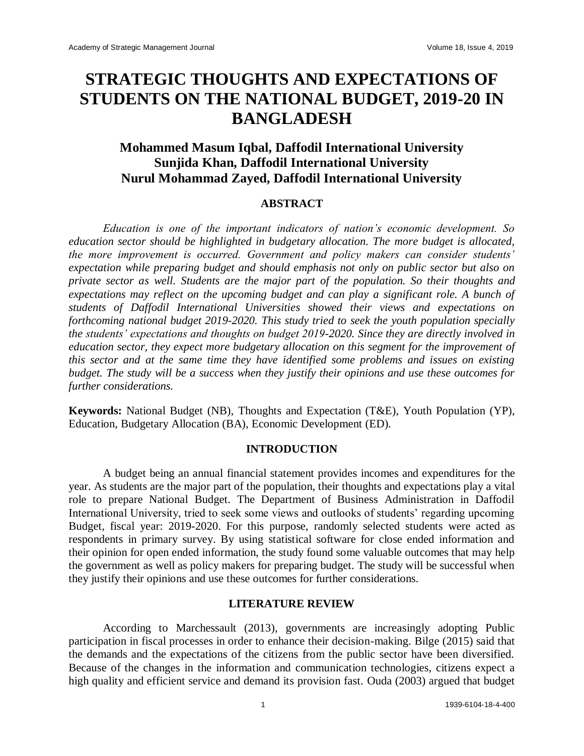# **STRATEGIC THOUGHTS AND EXPECTATIONS OF STUDENTS ON THE NATIONAL BUDGET, 2019-20 IN BANGLADESH**

## **Mohammed Masum Iqbal, Daffodil International University Sunjida Khan, Daffodil International University Nurul Mohammad Zayed, Daffodil International University**

#### **ABSTRACT**

*Education is one of the important indicators of nation's economic development. So education sector should be highlighted in budgetary allocation. The more budget is allocated, the more improvement is occurred. Government and policy makers can consider students' expectation while preparing budget and should emphasis not only on public sector but also on private sector as well. Students are the major part of the population. So their thoughts and expectations may reflect on the upcoming budget and can play a significant role. A bunch of students of Daffodil International Universities showed their views and expectations on forthcoming national budget 2019-2020. This study tried to seek the youth population specially the students' expectations and thoughts on budget 2019-2020. Since they are directly involved in education sector, they expect more budgetary allocation on this segment for the improvement of this sector and at the same time they have identified some problems and issues on existing budget. The study will be a success when they justify their opinions and use these outcomes for further considerations.*

**Keywords:** National Budget (NB), Thoughts and Expectation (T&E), Youth Population (YP), Education, Budgetary Allocation (BA), Economic Development (ED).

#### **INTRODUCTION**

A budget being an annual financial statement provides incomes and expenditures for the year. As students are the major part of the population, their thoughts and expectations play a vital role to prepare National Budget. The Department of Business Administration in Daffodil International University, tried to seek some views and outlooks of students' regarding upcoming Budget, fiscal year: 2019-2020. For this purpose, randomly selected students were acted as respondents in primary survey. By using statistical software for close ended information and their opinion for open ended information, the study found some valuable outcomes that may help the government as well as policy makers for preparing budget. The study will be successful when they justify their opinions and use these outcomes for further considerations.

## **LITERATURE REVIEW**

According to Marchessault (2013), governments are increasingly adopting Public participation in fiscal processes in order to enhance their decision-making. Bilge (2015) said that the demands and the expectations of the citizens from the public sector have been diversified. Because of the changes in the information and communication technologies, citizens expect a high quality and efficient service and demand its provision fast. Ouda (2003) argued that budget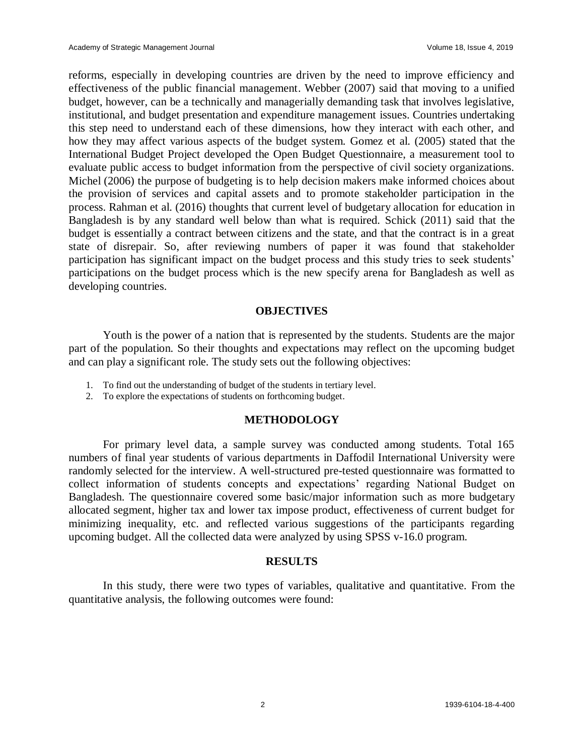reforms, especially in developing countries are driven by the need to improve efficiency and effectiveness of the public financial management. Webber (2007) said that moving to a unified budget, however, can be a technically and managerially demanding task that involves legislative, institutional, and budget presentation and expenditure management issues. Countries undertaking this step need to understand each of these dimensions, how they interact with each other, and how they may affect various aspects of the budget system. Gomez et al. (2005) stated that the International Budget Project developed the Open Budget Questionnaire, a measurement tool to evaluate public access to budget information from the perspective of civil society organizations. Michel (2006) the purpose of budgeting is to help decision makers make informed choices about the provision of services and capital assets and to promote stakeholder participation in the process. Rahman et al. (2016) thoughts that current level of budgetary allocation for education in Bangladesh is by any standard well below than what is required. Schick (2011) said that the budget is essentially a contract between citizens and the state, and that the contract is in a great state of disrepair. So, after reviewing numbers of paper it was found that stakeholder participation has significant impact on the budget process and this study tries to seek students' participations on the budget process which is the new specify arena for Bangladesh as well as developing countries.

#### **OBJECTIVES**

Youth is the power of a nation that is represented by the students. Students are the major part of the population. So their thoughts and expectations may reflect on the upcoming budget and can play a significant role. The study sets out the following objectives:

- 1. To find out the understanding of budget of the students in tertiary level.
- 2. To explore the expectations of students on forthcoming budget.

## **METHODOLOGY**

For primary level data, a sample survey was conducted among students. Total 165 numbers of final year students of various departments in Daffodil International University were randomly selected for the interview. A well-structured pre-tested questionnaire was formatted to collect information of students concepts and expectations' regarding National Budget on Bangladesh. The questionnaire covered some basic/major information such as more budgetary allocated segment, higher tax and lower tax impose product, effectiveness of current budget for minimizing inequality, etc. and reflected various suggestions of the participants regarding upcoming budget. All the collected data were analyzed by using SPSS v-16.0 program.

## **RESULTS**

In this study, there were two types of variables, qualitative and quantitative. From the quantitative analysis, the following outcomes were found: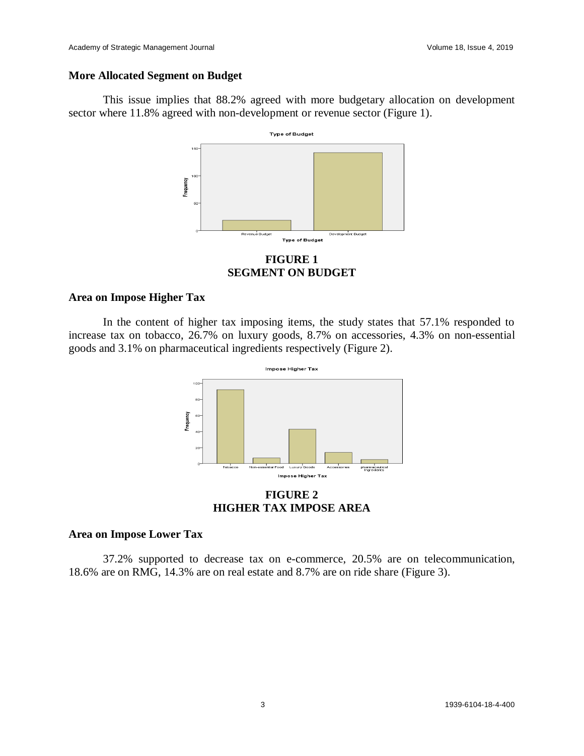#### **More Allocated Segment on Budget**

This issue implies that 88.2% agreed with more budgetary allocation on development sector where 11.8% agreed with non-development or revenue sector (Figure 1).



**FIGURE 1 SEGMENT ON BUDGET**

#### **Area on Impose Higher Tax**

In the content of higher tax imposing items, the study states that 57.1% responded to increase tax on tobacco, 26.7% on luxury goods, 8.7% on accessories, 4.3% on non-essential goods and 3.1% on pharmaceutical ingredients respectively (Figure 2).



**FIGURE 2 HIGHER TAX IMPOSE AREA**

#### **Area on Impose Lower Tax**

37.2% supported to decrease tax on e-commerce, 20.5% are on telecommunication, 18.6% are on RMG, 14.3% are on real estate and 8.7% are on ride share (Figure 3).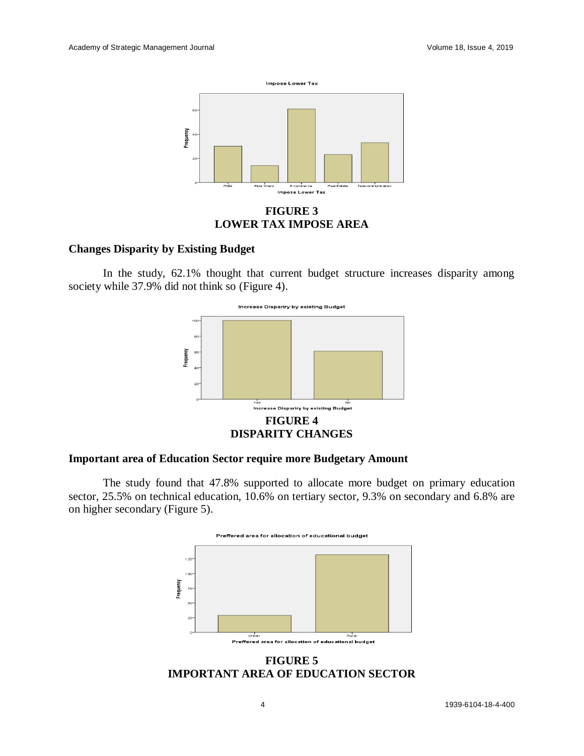

#### **FIGURE 3 LOWER TAX IMPOSE AREA**

#### **Changes Disparity by Existing Budget**

In the study, 62.1% thought that current budget structure increases disparity among society while 37.9% did not think so (Figure 4).



#### **Important area of Education Sector require more Budgetary Amount**

The study found that 47.8% supported to allocate more budget on primary education sector, 25.5% on technical education, 10.6% on tertiary sector, 9.3% on secondary and 6.8% are on higher secondary (Figure 5).



**FIGURE 5 IMPORTANT AREA OF EDUCATION SECTOR**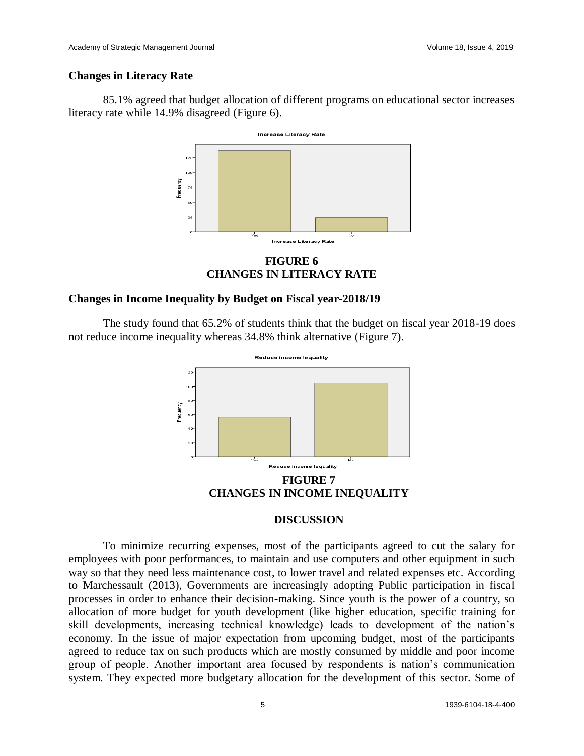## **Changes in Literacy Rate**

85.1% agreed that budget allocation of different programs on educational sector increases literacy rate while 14.9% disagreed (Figure 6).



**FIGURE 6 CHANGES IN LITERACY RATE**

## **Changes in Income Inequality by Budget on Fiscal year-2018/19**

The study found that 65.2% of students think that the budget on fiscal year 2018-19 does not reduce income inequality whereas 34.8% think alternative (Figure 7).



**CHANGES IN INCOME INEQUALITY**

## **DISCUSSION**

To minimize recurring expenses, most of the participants agreed to cut the salary for employees with poor performances, to maintain and use computers and other equipment in such way so that they need less maintenance cost, to lower travel and related expenses etc. According to Marchessault (2013), Governments are increasingly adopting Public participation in fiscal processes in order to enhance their decision-making. Since youth is the power of a country, so allocation of more budget for youth development (like higher education, specific training for skill developments, increasing technical knowledge) leads to development of the nation's economy. In the issue of major expectation from upcoming budget, most of the participants agreed to reduce tax on such products which are mostly consumed by middle and poor income group of people. Another important area focused by respondents is nation's communication system. They expected more budgetary allocation for the development of this sector. Some of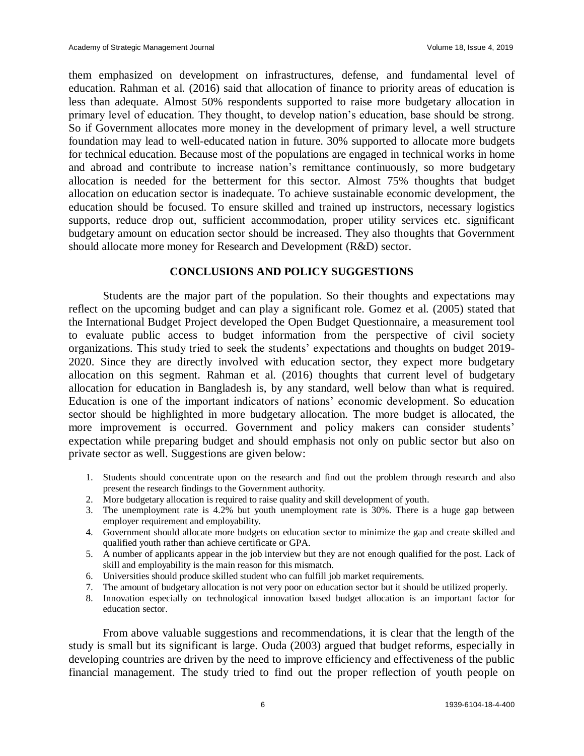them emphasized on development on infrastructures, defense, and fundamental level of education. Rahman et al. (2016) said that allocation of finance to priority areas of education is less than adequate. Almost 50% respondents supported to raise more budgetary allocation in primary level of education. They thought, to develop nation's education, base should be strong. So if Government allocates more money in the development of primary level, a well structure foundation may lead to well-educated nation in future. 30% supported to allocate more budgets for technical education. Because most of the populations are engaged in technical works in home and abroad and contribute to increase nation's remittance continuously, so more budgetary allocation is needed for the betterment for this sector. Almost 75% thoughts that budget allocation on education sector is inadequate. To achieve sustainable economic development, the education should be focused. To ensure skilled and trained up instructors, necessary logistics supports, reduce drop out, sufficient accommodation, proper utility services etc. significant budgetary amount on education sector should be increased. They also thoughts that Government should allocate more money for Research and Development (R&D) sector.

#### **CONCLUSIONS AND POLICY SUGGESTIONS**

Students are the major part of the population. So their thoughts and expectations may reflect on the upcoming budget and can play a significant role. Gomez et al. (2005) stated that the International Budget Project developed the Open Budget Questionnaire, a measurement tool to evaluate public access to budget information from the perspective of civil society organizations. This study tried to seek the students' expectations and thoughts on budget 2019- 2020. Since they are directly involved with education sector, they expect more budgetary allocation on this segment. Rahman et al. (2016) thoughts that current level of budgetary allocation for education in Bangladesh is, by any standard, well below than what is required. Education is one of the important indicators of nations' economic development. So education sector should be highlighted in more budgetary allocation. The more budget is allocated, the more improvement is occurred. Government and policy makers can consider students' expectation while preparing budget and should emphasis not only on public sector but also on private sector as well. Suggestions are given below:

- 1. Students should concentrate upon on the research and find out the problem through research and also present the research findings to the Government authority.
- 2. More budgetary allocation is required to raise quality and skill development of youth.
- 3. The unemployment rate is 4.2% but youth unemployment rate is 30%. There is a huge gap between employer requirement and employability.
- 4. Government should allocate more budgets on education sector to minimize the gap and create skilled and qualified youth rather than achieve certificate or GPA.
- 5. A number of applicants appear in the job interview but they are not enough qualified for the post. Lack of skill and employability is the main reason for this mismatch.
- 6. Universities should produce skilled student who can fulfill job market requirements.
- 7. The amount of budgetary allocation is not very poor on education sector but it should be utilized properly.
- 8. Innovation especially on technological innovation based budget allocation is an important factor for education sector.

From above valuable suggestions and recommendations, it is clear that the length of the study is small but its significant is large. Ouda (2003) argued that budget reforms, especially in developing countries are driven by the need to improve efficiency and effectiveness of the public financial management. The study tried to find out the proper reflection of youth people on